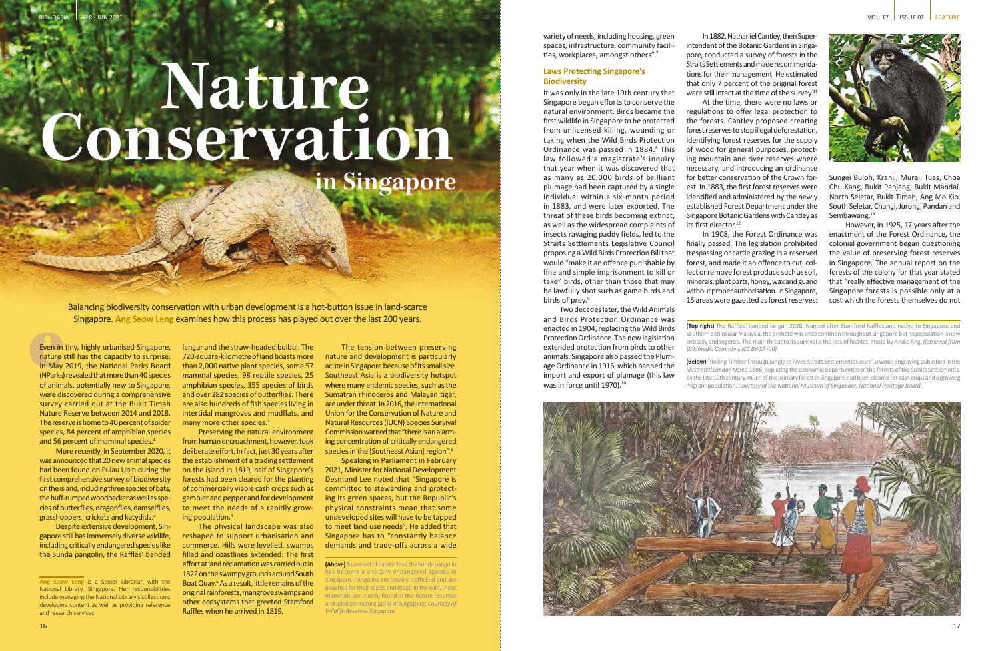Balancing biodiversity conservation with urban development is a hot-button issue in land-scarce Singapore. **Ang Seow Leng** examines how this process has played out over the last 200 years.

Even in<br>
nature<br>
In May<br>
(NParks)<br>
of anim Even in tiny, highly urbanised Singapore, nature still has the capacity to surprise. In May 2019, the National Parks Board (NParks) revealed that more than 40 species of animals, potentially new to Singapore, were discovered during a comprehensive survey carried out at the Bukit Timah Nature Reserve between 2014 and 2018. The reserve is home to 40 percent of spider species, 84 percent of amphibian species and 56 percent of mammal species.<sup>1</sup>

> **(Above)** As a result of habitat loss, the Sunda pangolin as become a critically endangered species in Singapore. Pangolins are heavily trafficked and are poached for their scales and meat. In the wild, these mammals are mainly found in the nature reserves and adjacent nature parks of Singapore. *Courtesy of Wildlife Reserves Singapore.*

**(Top right)** The Raffles' banded langur, 2020. Named after Stamford Raffles and native to Singapore and southern peninsular Malaysia, the primate was once common throughout Singapore but its population is now critically endangered. The main threat to its survival is the loss of habitat. Photo by Andie Ang. *Retrieved from Wikimedia Commons (CC BY-SA 4.0).*

langur and the straw-headed bulbul. The 720-square-kilometre of land boasts more than 2,000 native plant species, some 57 mammal species, 98 reptile species, 25 amphibian species, 355 species of birds and over 282 species of butterflies. There are also hundreds of fish species living in intertidal mangroves and mudflats, and many more other species.<sup>3</sup>

**(Below)** "Rolling Timber Through Jungle to River, Straits Settlements Court", a wood engraving published in the *Illustrated London News*, 1886, depicting the economic opportunities of the forests of the Straits Settlements. By the late 19th century, much of the primary forest in Singapore had been cleared for cash crops and a growing migrant population. *Courtesy of the National Museum of Singapore, National Heritage Board.*



variety of needs, including housing, green spaces, infrastructure, community facilities, workplaces, amongst others".<sup>7</sup>

It was only in the late 19th century that Singapore began efforts to conserve the natural environment. Birds became the first wildlife in Singapore to be protected from unlicensed killing, wounding or taking when the Wild Birds Protection Ordinance was passed in 1884.<sup>8</sup> This law followed a magistrate's inquiry that year when it was discovered that as many as 20,000 birds of brilliant plumage had been captured by a single individual within a six-month period in 1883, and were later exported. The threat of these birds becoming extinct, as well as the widespread complaints of insects ravaging paddy fields, led to the Straits Settlements Legislative Council proposing a Wild Birds Protection Bill that would "make it an offence punishable by fine and simple imprisonment to kill or take" birds, other than those that may be lawfully shot such as game birds and birds of prey.<sup>9</sup>

More recently, in September 2020, it was announced that 20 new animal species had been found on Pulau Ubin during the first comprehensive survey of biodiversity on the island, including three species of bats, the buff-rumped woodpecker as well as species of butterflies, dragonflies, damselflies, grasshoppers, crickets and katydids.2

Two decades later, the Wild Animals and Birds Protection Ordinance was enacted in 1904, replacing the Wild Birds Protection Ordinance. The new legislation extended protection from birds to other animals. Singapore also passed the Plumage Ordinance in 1916, which banned the import and export of plumage (this law was in force until 1970).<sup>10</sup>

Despite extensive development, Singapore still has immensely diverse wildlife, including critically endangered species like the Sunda pangolin, the Raffles' banded

intendent of the Botanic Gardens in Singapore, conducted a survey of forests in the Straits Settlements and made recommendations for their management. He estimated that only 7 percent of the original forest were still intact at the time of the survey.<sup>11</sup> regulations to offer legal protection to the forests. Cantley proposed creating forest reserves to stop illegal deforestation, identifying forest reserves for the supply of wood for general purposes, protecting mountain and river reserves where necessary, and introducing an ordinance for better conservation of the Crown forest. In 1883, the first forest reserves were identified and administered by the newly established Forest Department under the Singapore Botanic Gardens with Cantley as its first director.<sup>12</sup>

Preserving the natural environment from human encroachment, however, took deliberate effort. In fact, just 30 years after the establishment of a trading settlement on the island in 1819, half of Singapore's forests had been cleared for the planting of commercially viable cash crops such as gambier and pepper and for development to meet the needs of a rapidly growing population.4

Sungei Buloh, Kranji, Murai, Tuas, Choa Chu Kang, Bukit Panjang, Bukit Mandai, North Seletar, Bukit Timah, Ang Mo Kio, South Seletar, Changi, Jurong, Pandan and Sembawang.<sup>13</sup>

The tension between preserving nature and development is particularly acute in Singapore because of its small size. Southeast Asia is a biodiversity hotspot where many endemic species, such as the Sumatran rhinoceros and Malayan tiger, are under threat. In 2016, the International Union for the Conservation of Nature and Natural Resources (IUCN) Species Survival Commission warned that "there is an alarming concentration of critically endangered species in the [Southeast Asian] region".<sup>6</sup>

The physical landscape was also reshaped to support urbanisation and commerce. Hills were levelled, swamps filled and coastlines extended. The first effort at land reclamation was carried out in 1822 on the swampy grounds around South Boat Quay.<sup>5</sup> As a result, little remains of the original rainforests, mangrove swamps and other ecosystems that greeted Stamford Raffles when he arrived in 1819.

# **Laws Protecting Singapore's Biodiversity**

In 1882, Nathaniel Cantley, then Super-At the time, there were no laws or

In 1908, the Forest Ordinance was finally passed. The legislation prohibited trespassing or cattle grazing in a reserved forest, and made it an offence to cut, collect or remove forest produce such as soil, minerals, plant parts, honey, wax and guano without proper authorisation. In Singapore, 15 areas were gazetted as forest reserves:

However, in 1925, 17 years after the enactment of the Forest Ordinance, the colonial government began questioning the value of preserving forest reserves in Singapore. The annual report on the forests of the colony for that year stated that "really effective management of the Singapore forests is possible only at a cost which the forests themselves do not

# **Conservation Nature in Singapore**

Speaking in Parliament in February 2021, Minister for National Development Desmond Lee noted that "Singapore is committed to stewarding and protecting its green spaces, but the Republic's physical constraints mean that some undeveloped sites will have to be tapped to meet land use needs". He added that Singapore has to "constantly balance demands and trade-offs across a wide



**Ang Seow Leng** is a Senior Librarian with the National Library, Singapore. Her responsibilities include managing the National Library's collections, developing content as well as providing reference and research services.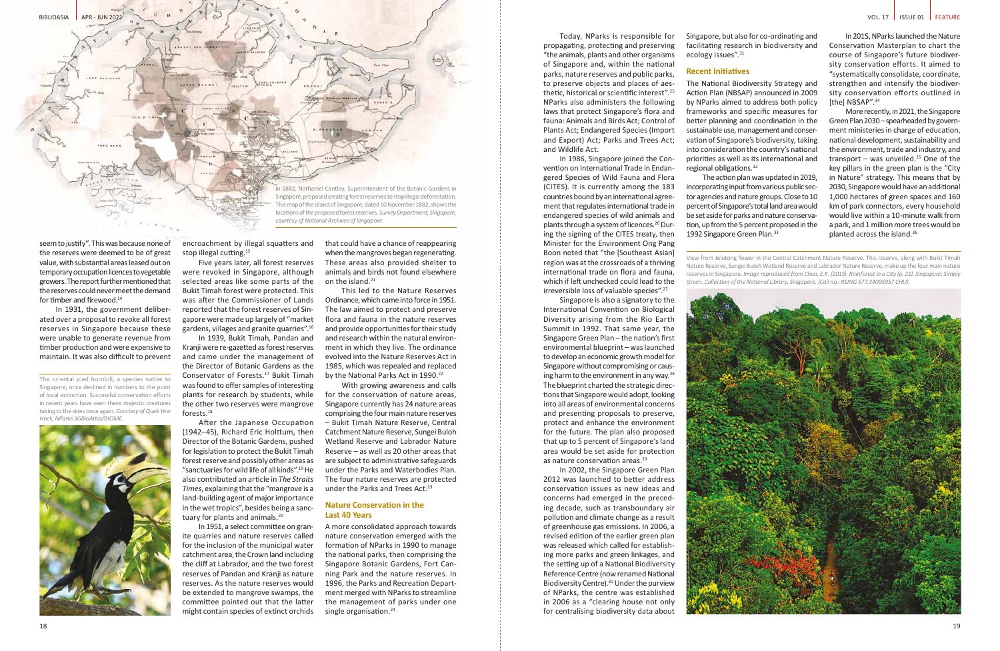encroachment by illegal squatters and stop illegal cutting.<sup>15</sup>

In 1931, the government deliberated over a proposal to revoke all forest reserves in Singapore because these were unable to generate revenue from timber production and were expensive to maintain. It was also difficult to prevent

> After the Japanese Occupation (1942–45), Richard Eric Holttum, then Director of the Botanic Gardens, pushed for legislation to protect the Bukit Timah forest reserve and possibly other areas as "sanctuaries for wild life of all kinds".19 He also contributed an article in *The Straits Times*, explaining that the "mangrove is a land-building agent of major importance in the wet tropics", besides being a sanctuary for plants and animals.<sup>20</sup>

Five years later, all forest reserves were revoked in Singapore, although selected areas like some parts of the Bukit Timah forest were protected. This was after the Commissioner of Lands reported that the forest reserves of Singapore were made up largely of "market gardens, villages and granite quarries".16

that could have a chance of reappearing when the mangroves began regenerating. These areas also provided shelter to animals and birds not found elsewhere on the island.<sup>21</sup>

In 1939, Bukit Timah, Pandan and Kranji were re-gazetted as forest reserves and came under the management of the Director of Botanic Gardens as the Conservator of Forests.17 Bukit Timah was found to offer samples of interesting plants for research by students, while the other two reserves were mangrove forests.<sup>18</sup>

This led to the Nature Reserves Ordinance, which came into force in 1951. The law aimed to protect and preserve flora and fauna in the nature reserves and provide opportunities for their study and research within the natural environment in which they live. The ordinance evolved into the Nature Reserves Act in 1985, which was repealed and replaced by the National Parks Act in 1990.<sup>22</sup>

With growing awareness and calls for the conservation of nature areas, Singapore currently has 24 nature areas comprising the four main nature reserves – Bukit Timah Nature Reserve, Central Catchment Nature Reserve, Sungei Buloh Wetland Reserve and Labrador Nature Reserve – as well as 20 other areas that are subject to administrative safeguards under the Parks and Waterbodies Plan. The four nature reserves are protected under the Parks and Trees Act.<sup>23</sup>

A more consolidated approach towards nature conservation emerged with the formation of NParks in 1990 to manage the national parks, then comprising the Singapore Botanic Gardens, Fort Canning Park and the nature reserves. In 1996, the Parks and Recreation Department merged with NParks to streamline the management of parks under one single organisation.<sup>24</sup>

In 1951, a select committee on granite quarries and nature reserves called for the inclusion of the municipal water catchment area, the Crown land including the cliff at Labrador, and the two forest reserves of Pandan and Kranji as nature reserves. As the nature reserves would be extended to mangrove swamps, the committee pointed out that the latter might contain species of extinct orchids

Singapore is also a signatory to the International Convention on Biological Diversity arising from the Rio Earth Summit in 1992. That same year, the Singapore Green Plan – the nation's first environmental blueprint – was launched to develop an economic growth model for Singapore without compromising or causing harm to the environment in any way.<sup>28</sup> The blueprint charted the strategic directions that Singapore would adopt, looking into all areas of environmental concerns and presenting proposals to preserve, protect and enhance the environment for the future. The plan also proposed that up to 5 percent of Singapore's land area would be set aside for protection as nature conservation areas.<sup>29</sup>

Singapore, but also for co-ordinating and facilitating research in biodiversity and ecology issues".<sup>31</sup>

# **Nature Conservation in the Last 40 Years**

The action plan was updated in 2019, incorporating input from various public sector agencies and nature groups. Close to 10 percent of Singapore's total land area would be set aside for parks and nature conservation, up from the 5 percent proposed in the 1992 Singapore Green Plan.<sup>33</sup>



Today, NParks is responsible for propagating, protecting and preserving "the animals, plants and other organisms of Singapore and, within the national parks, nature reserves and public parks, to preserve objects and places of aesthetic, historical or scientific interest".25 NParks also administers the following laws that protect Singapore's flora and fauna: Animals and Birds Act; Control of Plants Act; Endangered Species (Import and Export) Act; Parks and Trees Act; and Wildlife Act.

Nathaniel Cantley, Superintendent of the Botanic Gardens in Singapore, proposed creating forest reserves to stop illegal deforestation. This map of the island of Singapore, dated 10 November 1882, shows the locations of the proposed forest reserves. *Survey Department, Singapore, courtesy of National Archives of Singapore.*

seem to justify". This was because none of the reserves were deemed to be of great value, with substantial areas leased out on temporary occupation licences to vegetable growers. The report further mentioned that the reserves could never meet the demand for timber and firewood.<sup>14</sup>

In 1986, Singapore joined the Convention on International Trade in Endangered Species of Wild Fauna and Flora (CITES). It is currently among the 183 countries bound by an international agreement that regulates international trade in endangered species of wild animals and plants through a system of licences.<sup>26</sup> During the signing of the CITES treaty, then Minister for the Environment Ong Pang Boon noted that "the [Southeast Asian] region was at the crossroads of a thriving international trade on flora and fauna, which if left unchecked could lead to the irreversible loss of valuable species".27

In 2002, the Singapore Green Plan 2012 was launched to better address conservation issues as new ideas and concerns had emerged in the preceding decade, such as transboundary air pollution and climate change as a result of greenhouse gas emissions. In 2006, a revised edition of the earlier green plan was released which called for establishing more parks and green linkages, and the setting up of a National Biodiversity Reference Centre (now renamed National Biodiversity Centre).30 Under the purview of NParks, the centre was established in 2006 as a "clearing house not only for centralising biodiversity data about

## **Recent Initiatives**

The National Biodiversity Strategy and Action Plan (NBSAP) announced in 2009 by NParks aimed to address both policy frameworks and specific measures for better planning and coordination in the sustainable use, management and conservation of Singapore's biodiversity, taking into consideration the country's national priorities as well as its international and regional obligations.32

In 2015, NParks launched the Nature Conservation Masterplan to chart the course of Singapore's future biodiversity conservation efforts. It aimed to "systematically consolidate, coordinate, strengthen and intensify the biodiversity conservation efforts outlined in [the] NBSAP".34

More recently, in 2021, the Singapore Green Plan 2030 – spearheaded by government ministeries in charge of education, national development, sustainability and the environment, trade and industry, and transport – was unveiled. $35$  One of the key pillars in the green plan is the "City in Nature" strategy. This means that by 2030, Singapore would have an additional 1,000 hectares of green spaces and 160 km of park connectors, every household would live within a 10-minute walk from a park, and 1 million more trees would be planted across the island.36

The oriental pied hornbill, a species native to Singapore, once declined in numbers to the point of local extinction. Successful conservation efforts in recent years have seen these majestic creatures taking to the skies once again. *Courtesy of Quek Yew Hock, NParks SGBioAtlas/BIOME.*



View from Jelutong Tower in the Central Catchment Nature Reserve. This reserve, along with Bukit Timah Nature Reserve, Sungei Buloh Wetland Reserve and Labrador Nature Reserve, make up the four main nature reserves in Singapore. *Image reproduced from Chua, E.K. (2015). Rainforest in a City (p. 21). Singapore: Simply Green. Collection of the National Library, Singapore. (Call no.: RSING 577.34095957 CHU).*